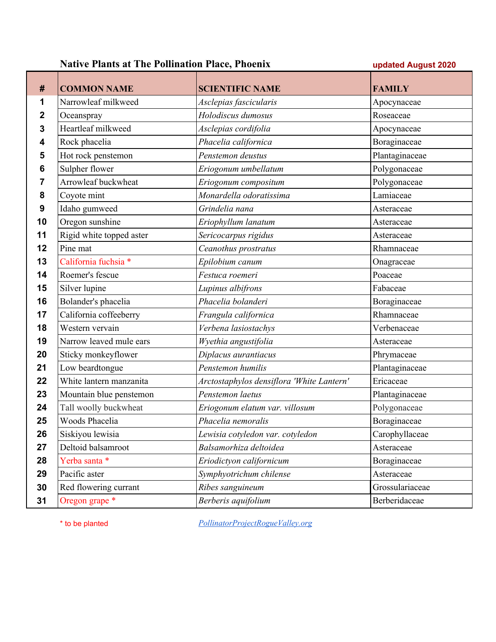## **Native Plants at The Pollination Place, Phoenix updated August 2020**

| #  | <b>COMMON NAME</b>       | <b>SCIENTIFIC NAME</b>                    | <b>FAMILY</b>   |
|----|--------------------------|-------------------------------------------|-----------------|
| 1  | Narrowleaf milkweed      | Asclepias fascicularis                    | Apocynaceae     |
| 2  | Oceanspray               | Holodiscus dumosus                        | Roseaceae       |
| 3  | Heartleaf milkweed       | Asclepias cordifolia                      | Apocynaceae     |
| 4  | Rock phacelia            | Phacelia californica                      | Boraginaceae    |
| 5  | Hot rock penstemon       | Penstemon deustus                         | Plantaginaceae  |
| 6  | Sulpher flower           | Eriogonum umbellatum                      | Polygonaceae    |
| 7  | Arrowleaf buckwheat      | Eriogonum compositum                      | Polygonaceae    |
| 8  | Coyote mint              | Monardella odoratissima                   | Lamiaceae       |
| 9  | Idaho gumweed            | Grindelia nana                            | Asteraceae      |
| 10 | Oregon sunshine          | Eriophyllum lanatum                       | Asteraceae      |
| 11 | Rigid white topped aster | Sericocarpus rigidus                      | Asteraceae      |
| 12 | Pine mat                 | Ceanothus prostratus                      | Rhamnaceae      |
| 13 | California fuchsia *     | Epilobium canum                           | Onagraceae      |
| 14 | Roemer's fescue          | Festuca roemeri                           | Poaceae         |
| 15 | Silver lupine            | Lupinus albifrons                         | Fabaceae        |
| 16 | Bolander's phacelia      | Phacelia bolanderi                        | Boraginaceae    |
| 17 | California coffeeberry   | Frangula californica                      | Rhamnaceae      |
| 18 | Western vervain          | Verbena lasiostachys                      | Verbenaceae     |
| 19 | Narrow leaved mule ears  | Wyethia angustifolia                      | Asteraceae      |
| 20 | Sticky monkeyflower      | Diplacus aurantiacus                      | Phrymaceae      |
| 21 | Low beardtongue          | Penstemon humilis                         | Plantaginaceae  |
| 22 | White lantern manzanita  | Arctostaphylos densiflora 'White Lantern' | Ericaceae       |
| 23 | Mountain blue penstemon  | Penstemon laetus                          | Plantaginaceae  |
| 24 | Tall woolly buckwheat    | Eriogonum elatum var. villosum            | Polygonaceae    |
| 25 | Woods Phacelia           | Phacelia nemoralis                        | Boraginaceae    |
| 26 | Siskiyou lewisia         | Lewisia cotyledon var. cotyledon          | Carophyllaceae  |
| 27 | Deltoid balsamroot       | Balsamorhiza deltoidea                    | Asteraceae      |
| 28 | Yerba santa *            | Eriodictyon californicum                  | Boraginaceae    |
| 29 | Pacific aster            | Symphyotrichum chilense                   | Asteraceae      |
| 30 | Red flowering currant    | Ribes sanguineum                          | Grossulariaceae |
| 31 | Oregon grape *           | Berberis aquifolium                       | Berberidaceae   |

\* to be planted *[PollinatorProjectRogueValley.org](http://pollinatorprojectroguevalley.org/)*